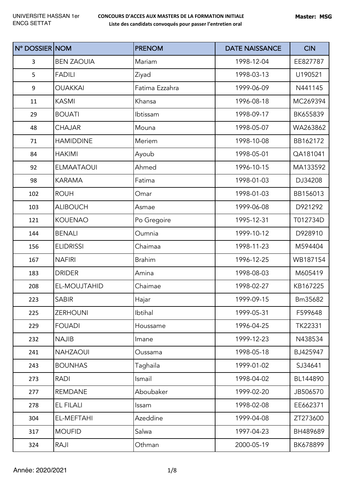| N° DOSSIER NOM   |                   | <b>PRENOM</b>  | <b>DATE NAISSANCE</b> | <b>CIN</b> |
|------------------|-------------------|----------------|-----------------------|------------|
| 3                | <b>BEN ZAOUIA</b> | Mariam         | 1998-12-04            | EE827787   |
| 5                | <b>FADILI</b>     | Ziyad          | 1998-03-13            | U190521    |
| $\boldsymbol{9}$ | <b>OUAKKAI</b>    | Fatima Ezzahra | 1999-06-09            | N441145    |
| 11               | <b>KASMI</b>      | Khansa         | 1996-08-18            | MC269394   |
| 29               | <b>BOUATI</b>     | Ibtissam       | 1998-09-17            | BK655839   |
| 48               | <b>CHAJAR</b>     | Mouna          | 1998-05-07            | WA263862   |
| 71               | <b>HAMIDDINE</b>  | Meriem         | 1998-10-08            | BB162172   |
| 84               | <b>HAKIMI</b>     | Ayoub          | 1998-05-01            | QA181041   |
| 92               | <b>ELMAATAOUI</b> | Ahmed          | 1996-10-15            | MA133592   |
| 98               | <b>KARAMA</b>     | Fatima         | 1998-01-03            | DJ34208    |
| 102              | <b>ROUH</b>       | Omar           | 1998-01-03            | BB156013   |
| 103              | <b>ALIBOUCH</b>   | Asmae          | 1999-06-08            | D921292    |
| 121              | <b>KOUENAO</b>    | Po Gregoire    | 1995-12-31            | T012734D   |
| 144              | <b>BENALI</b>     | Oumnia         | 1999-10-12            | D928910    |
| 156              | <b>ELIDRISSI</b>  | Chaimaa        | 1998-11-23            | M594404    |
| 167              | <b>NAFIRI</b>     | <b>Brahim</b>  | 1996-12-25            | WB187154   |
| 183              | <b>DRIDER</b>     | Amina          | 1998-08-03            | M605419    |
| 208              | EL-MOUJTAHID      | Chaimae        | 1998-02-27            | KB167225   |
| 223              | <b>SABIR</b>      | Hajar          | 1999-09-15            | Bm35682    |
| 225              | <b>ZERHOUNI</b>   | Ibtihal        | 1999-05-31            | F599648    |
| 229              | <b>FOUADI</b>     | Houssame       | 1996-04-25            | TK22331    |
| 232              | <b>NAJIB</b>      | Imane          | 1999-12-23            | N438534    |
| 241              | <b>NAHZAOUI</b>   | Oussama        | 1998-05-18            | BJ425947   |
| 243              | <b>BOUNHAS</b>    | Taghaila       | 1999-01-02            | SJ34641    |
| 273              | <b>RADI</b>       | Ismail         | 1998-04-02            | BL144890   |
| 277              | <b>REMDANE</b>    | Aboubaker      | 1999-02-20            | JB506570   |
| 278              | <b>EL FILALI</b>  | Issam          | 1998-02-08            | EE662371   |
| 304              | EL-MEFTAHI        | Azeddine       | 1999-04-08            | ZT273600   |
| 317              | <b>MOUFID</b>     | Salwa          | 1997-04-23            | BH489689   |
| 324              | RAJI              | Othman         | 2000-05-19            | BK678899   |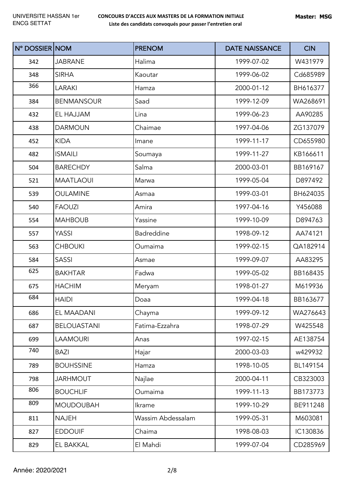| N° DOSSIER NOM |                    | <b>PRENOM</b>     | <b>DATE NAISSANCE</b> | <b>CIN</b> |
|----------------|--------------------|-------------------|-----------------------|------------|
| 342            | <b>JABRANE</b>     | Halima            | 1999-07-02            | W431979    |
| 348            | <b>SIRHA</b>       | Kaoutar           | 1999-06-02            | Cd685989   |
| 366            | <b>LARAKI</b>      | Hamza             | 2000-01-12            | BH616377   |
| 384            | <b>BENMANSOUR</b>  | Saad              | 1999-12-09            | WA268691   |
| 432            | EL HAJJAM          | Lina              | 1999-06-23            | AA90285    |
| 438            | <b>DARMOUN</b>     | Chaimae           | 1997-04-06            | ZG137079   |
| 452            | <b>KIDA</b>        | Imane             | 1999-11-17            | CD655980   |
| 482            | <b>ISMAILI</b>     | Soumaya           | 1999-11-27            | KB166611   |
| 504            | <b>BARECHDY</b>    | Salma             | 2000-03-01            | BB169167   |
| 521            | <b>MAATLAOUI</b>   | Marwa             | 1999-05-04            | D897492    |
| 539            | <b>OULAMINE</b>    | Asmaa             | 1999-03-01            | BH624035   |
| 540            | <b>FAOUZI</b>      | Amira             | 1997-04-16            | Y456088    |
| 554            | <b>MAHBOUB</b>     | Yassine           | 1999-10-09            | D894763    |
| 557            | YASSI              | Badreddine        | 1998-09-12            | AA74121    |
| 563            | <b>CHBOUKI</b>     | Oumaima           | 1999-02-15            | QA182914   |
| 584            | <b>SASSI</b>       | Asmae             | 1999-09-07            | AA83295    |
| 625            | <b>BAKHTAR</b>     | Fadwa             | 1999-05-02            | BB168435   |
| 675            | <b>HACHIM</b>      | Meryam            | 1998-01-27            | M619936    |
| 684            | <b>HAIDI</b>       | Doaa              | 1999-04-18            | BB163677   |
| 686            | EL MAADANI         | Chayma            | 1999-09-12            | WA276643   |
| 687            | <b>BELOUASTANI</b> | Fatima-Ezzahra    | 1998-07-29            | W425548    |
| 699            | <b>LAAMOURI</b>    | Anas              | 1997-02-15            | AE138754   |
| 740            | <b>BAZI</b>        | Hajar             | 2000-03-03            | w429932    |
| 789            | <b>BOUHSSINE</b>   | Hamza             | 1998-10-05            | BL149154   |
| 798            | <b>JARHMOUT</b>    | Najlae            | 2000-04-11            | CB323003   |
| 806            | <b>BOUCHLIF</b>    | Oumaima           | 1999-11-13            | BB173773   |
| 809            | <b>MOUDOUBAH</b>   | Ikrame            | 1999-10-29            | BE911248   |
| 811            | <b>NAJEH</b>       | Wassim Abdessalam | 1999-05-31            | M603081    |
| 827            | <b>EDDOUIF</b>     | Chaima            | 1998-08-03            | IC130836   |
| 829            | EL BAKKAL          | El Mahdi          | 1999-07-04            | CD285969   |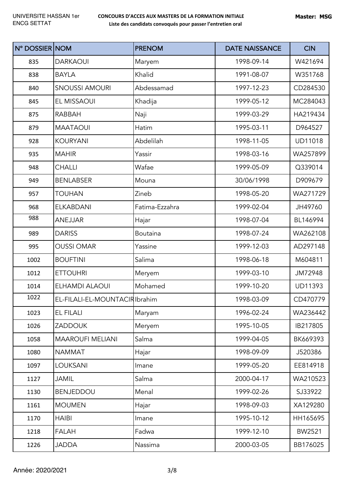| N° DOSSIER NOM |                               | <b>PRENOM</b>   | <b>DATE NAISSANCE</b> | <b>CIN</b>     |
|----------------|-------------------------------|-----------------|-----------------------|----------------|
| 835            | <b>DARKAOUI</b>               | Maryem          | 1998-09-14            | W421694        |
| 838            | <b>BAYLA</b>                  | Khalid          | 1991-08-07            | W351768        |
| 840            | <b>SNOUSSI AMOURI</b>         | Abdessamad      | 1997-12-23            | CD284530       |
| 845            | EL MISSAOUI                   | Khadija         | 1999-05-12            | MC284043       |
| 875            | <b>RABBAH</b>                 | Naji            | 1999-03-29            | HA219434       |
| 879            | <b>MAATAOUI</b>               | Hatim           | 1995-03-11            | D964527        |
| 928            | <b>KOURYANI</b>               | Abdelilah       | 1998-11-05            | <b>UD11018</b> |
| 935            | <b>MAHIR</b>                  | Yassir          | 1998-03-16            | WA257899       |
| 948            | <b>CHALLI</b>                 | Wafae           | 1999-05-09            | Q339014        |
| 949            | <b>BENLABSER</b>              | Mouna           | 30/06/1998            | D909679        |
| 957            | <b>TOUHAN</b>                 | Zineb           | 1998-05-20            | WA271729       |
| 968            | <b>ELKABDANI</b>              | Fatima-Ezzahra  | 1999-02-04            | JH49760        |
| 988            | <b>ANEJJAR</b>                | Hajar           | 1998-07-04            | BL146994       |
| 989            | <b>DARISS</b>                 | <b>Boutaina</b> | 1998-07-24            | WA262108       |
| 995            | <b>OUSSI OMAR</b>             | Yassine         | 1999-12-03            | AD297148       |
| 1002           | <b>BOUFTINI</b>               | Salima          | 1998-06-18            | M604811        |
| 1012           | <b>ETTOUHRI</b>               | Meryem          | 1999-03-10            | JM72948        |
| 1014           | <b>ELHAMDI ALAOUI</b>         | Mohamed         | 1999-10-20            | <b>UD11393</b> |
| 1022           | EL-FILALI-EL-MOUNTACIRIbrahim |                 | 1998-03-09            | CD470779       |
| 1023           | EL FILALI                     | Maryam          | 1996-02-24            | WA236442       |
| 1026           | <b>ZADDOUK</b>                | Meryem          | 1995-10-05            | IB217805       |
| 1058           | <b>MAAROUFI MELIANI</b>       | Salma           | 1999-04-05            | BK669393       |
| 1080           | NAMMAT                        | Hajar           | 1998-09-09            | J520386        |
| 1097           | <b>LOUKSANI</b>               | Imane           | 1999-05-20            | EE814918       |
| 1127           | <b>JAMIL</b>                  | Salma           | 2000-04-17            | WA210523       |
| 1130           | <b>BENJEDDOU</b>              | Menal           | 1999-02-26            | SJ33922        |
| 1161           | <b>MOUMEN</b>                 | Hajar           | 1998-09-03            | XA129280       |
| 1170           | <b>HAIBI</b>                  | Imane           | 1995-10-12            | HH165695       |
| 1218           | <b>FALAH</b>                  | Fadwa           | 1999-12-10            | BW2521         |
| 1226           | <b>JADDA</b>                  | Nassima         | 2000-03-05            | BB176025       |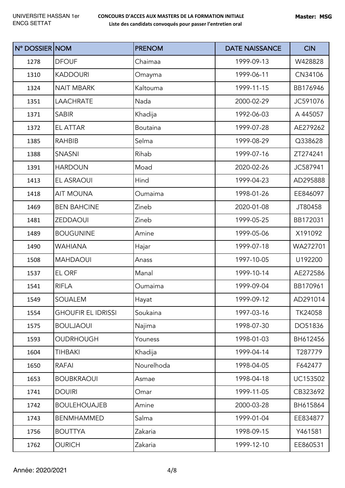| N° DOSSIER NOM |                           | <b>PRENOM</b> | <b>DATE NAISSANCE</b> | <b>CIN</b> |
|----------------|---------------------------|---------------|-----------------------|------------|
| 1278           | <b>DFOUF</b>              | Chaimaa       | 1999-09-13            | W428828    |
| 1310           | <b>KADDOURI</b>           | Omayma        | 1999-06-11            | CN34106    |
| 1324           | <b>NAIT MBARK</b>         | Kaltouma      | 1999-11-15            | BB176946   |
| 1351           | <b>LAACHRATE</b>          | Nada          | 2000-02-29            | JC591076   |
| 1371           | <b>SABIR</b>              | Khadija       | 1992-06-03            | A 445057   |
| 1372           | <b>EL ATTAR</b>           | Boutaina      | 1999-07-28            | AE279262   |
| 1385           | <b>RAHBIB</b>             | Selma         | 1999-08-29            | Q338628    |
| 1388           | <b>SNASNI</b>             | Rihab         | 1999-07-16            | ZT274241   |
| 1391           | <b>HARDOUN</b>            | Moad          | 2020-02-26            | JC587941   |
| 1413           | EL ASRAOUI                | Hind          | 1999-04-23            | AD295888   |
| 1418           | <b>AIT MOUNA</b>          | Oumaima       | 1998-01-26            | EE846097   |
| 1469           | <b>BEN BAHCINE</b>        | Zineb         | 2020-01-08            | JT80458    |
| 1481           | <b>ZEDDAOUI</b>           | Zineb         | 1999-05-25            | BB172031   |
| 1489           | <b>BOUGUNINE</b>          | Amine         | 1999-05-06            | X191092    |
| 1490           | <b>WAHIANA</b>            | Hajar         | 1999-07-18            | WA272701   |
| 1508           | <b>MAHDAOUI</b>           | Anass         | 1997-10-05            | U192200    |
| 1537           | EL ORF                    | Manal         | 1999-10-14            | AE272586   |
| 1541           | <b>RIFLA</b>              | Oumaima       | 1999-09-04            | BB170961   |
| 1549           | SOUALEM                   | Hayat         | 1999-09-12            | AD291014   |
| 1554           | <b>GHOUFIR EL IDRISSI</b> | Soukaina      | 1997-03-16            | TK24058    |
| 1575           | <b>BOULJAOUI</b>          | Najima        | 1998-07-30            | DO51836    |
| 1593           | <b>OUDRHOUGH</b>          | Youness       | 1998-01-03            | BH612456   |
| 1604           | <b>TIHBAKI</b>            | Khadija       | 1999-04-14            | T287779    |
| 1650           | <b>RAFAI</b>              | Nourelhoda    | 1998-04-05            | F642477    |
| 1653           | <b>BOUBKRAOUI</b>         | Asmae         | 1998-04-18            | UC153502   |
| 1741           | <b>DOUIRI</b>             | Omar          | 1999-11-05            | CB323692   |
| 1742           | <b>BOULEHOUAJEB</b>       | Amine         | 2000-03-28            | BH615864   |
| 1743           | <b>BENMHAMMED</b>         | Salma         | 1999-01-04            | EE834877   |
| 1756           | <b>BOUTTYA</b>            | Zakaria       | 1998-09-15            | Y461581    |
| 1762           | <b>OURICH</b>             | Zakaria       | 1999-12-10            | EE860531   |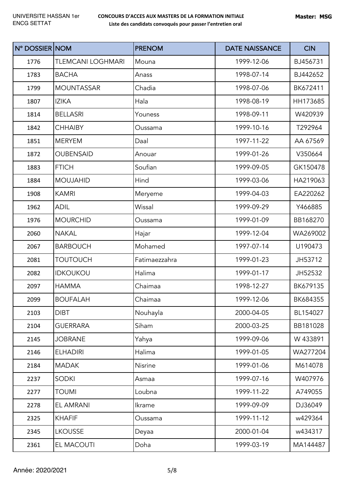| N° DOSSIER NOM |                          | <b>PRENOM</b> | <b>DATE NAISSANCE</b> | <b>CIN</b> |
|----------------|--------------------------|---------------|-----------------------|------------|
| 1776           | <b>TLEMCANI LOGHMARI</b> | Mouna         | 1999-12-06            | BJ456731   |
| 1783           | <b>BACHA</b>             | Anass         | 1998-07-14            | BJ442652   |
| 1799           | <b>MOUNTASSAR</b>        | Chadia        | 1998-07-06            | BK672411   |
| 1807           | <b>IZIKA</b>             | Hala          | 1998-08-19            | HH173685   |
| 1814           | <b>BELLASRI</b>          | Youness       | 1998-09-11            | W420939    |
| 1842           | <b>CHHAIBY</b>           | Oussama       | 1999-10-16            | T292964    |
| 1851           | <b>MERYEM</b>            | Daal          | 1997-11-22            | AA 67569   |
| 1872           | <b>OUBENSAID</b>         | Anouar        | 1999-01-26            | V350664    |
| 1883           | <b>FTICH</b>             | Soufian       | 1999-09-05            | GK150478   |
| 1884           | <b>MOUJAHID</b>          | Hind          | 1999-03-06            | HA219063   |
| 1908           | <b>KAMRI</b>             | Meryeme       | 1999-04-03            | EA220262   |
| 1962           | <b>ADIL</b>              | Wissal        | 1999-09-29            | Y466885    |
| 1976           | <b>MOURCHID</b>          | Oussama       | 1999-01-09            | BB168270   |
| 2060           | <b>NAKAL</b>             | Hajar         | 1999-12-04            | WA269002   |
| 2067           | <b>BARBOUCH</b>          | Mohamed       | 1997-07-14            | U190473    |
| 2081           | <b>TOUTOUCH</b>          | Fatimaezzahra | 1999-01-23            | JH53712    |
| 2082           | <b>IDKOUKOU</b>          | Halima        | 1999-01-17            | JH52532    |
| 2097           | <b>HAMMA</b>             | Chaimaa       | 1998-12-27            | BK679135   |
| 2099           | <b>BOUFALAH</b>          | Chaimaa       | 1999-12-06            | BK684355   |
| 2103           | <b>DIBT</b>              | Nouhayla      | 2000-04-05            | BL154027   |
| 2104           | <b>GUERRARA</b>          | Siham         | 2000-03-25            | BB181028   |
| 2145           | <b>JOBRANE</b>           | Yahya         | 1999-09-06            | W 433891   |
| 2146           | <b>ELHADIRI</b>          | Halima        | 1999-01-05            | WA277204   |
| 2184           | <b>MADAK</b>             | Nisrine       | 1999-01-06            | M614078    |
| 2237           | <b>SODKI</b>             | Asmaa         | 1999-07-16            | W407976    |
| 2277           | <b>TOUMI</b>             | Loubna        | 1999-11-22            | A749055    |
| 2278           | EL AMRANI                | Ikrame        | 1999-09-09            | DJ36049    |
| 2325           | <b>KHAFIF</b>            | Oussama       | 1999-11-12            | w429364    |
| 2345           | <b>LKOUSSE</b>           | Deyaa         | 2000-01-04            | w434317    |
| 2361           | EL MACOUTI               | Doha          | 1999-03-19            | MA144487   |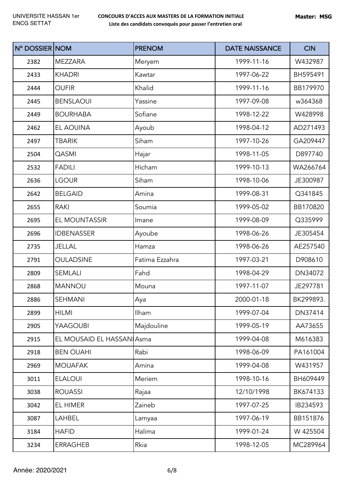| N° DOSSIER NOM |                           | <b>PRENOM</b>  | <b>DATE NAISSANCE</b> | <b>CIN</b> |
|----------------|---------------------------|----------------|-----------------------|------------|
| 2382           | <b>MEZZARA</b>            | Meryem         | 1999-11-16            | W432987    |
| 2433           | <b>KHADRI</b>             | Kawtar         | 1997-06-22            | BH595491   |
| 2444           | <b>OUFIR</b>              | Khalid         | 1999-11-16            | BB179970   |
| 2445           | <b>BENSLAOUI</b>          | Yassine        | 1997-09-08            | w364368    |
| 2449           | <b>BOURHABA</b>           | Sofiane        | 1998-12-22            | W428998    |
| 2462           | EL AOUINA                 | Ayoub          | 1998-04-12            | AD271493   |
| 2497           | <b>TBARIK</b>             | Siham          | 1997-10-26            | GA209447   |
| 2504           | <b>QASMI</b>              | Hajar          | 1998-11-05            | D897740    |
| 2532           | <b>FADILI</b>             | Hicham         | 1999-10-13            | WA266764   |
| 2636           | <b>LGOUR</b>              | Siham          | 1998-10-06            | JE300987   |
| 2642           | <b>BELGAID</b>            | Amina          | 1999-08-31            | Q341845    |
| 2655           | <b>RAKI</b>               | Soumia         | 1999-05-02            | BB170820   |
| 2695           | EL MOUNTASSIR             | Imane          | 1999-08-09            | Q335999    |
| 2696           | <b>IDBENASSER</b>         | Ayoube         | 1998-06-26            | JE305454   |
| 2735           | <b>JELLAL</b>             | Hamza          | 1998-06-26            | AE257540   |
| 2791           | <b>OULADSINE</b>          | Fatima Ezzahra | 1997-03-21            | D908610    |
| 2809           | SEMLALI                   | Fahd           | 1998-04-29            | DN34072    |
| 2868           | <b>MANNOU</b>             | Mouna          | 1997-11-07            | JE297781   |
| 2886           | SEHMANI                   | Aya            | 2000-01-18            | BK299893.  |
| 2899           | <b>HILMI</b>              | Ilham          | 1999-07-04            | DN37414    |
| 2905           | YAAGOUBI                  | Majdouline     | 1999-05-19            | AA73655    |
| 2915           | EL MOUSAID EL HASSANIAsma |                | 1999-04-08            | M616383    |
| 2918           | <b>BEN OUAHI</b>          | Rabi           | 1998-06-09            | PA161004   |
| 2969           | <b>MOUAFAK</b>            | Amina          | 1999-04-08            | W431957    |
| 3011           | <b>ELALOUI</b>            | Meriem         | 1998-10-16            | BH609449   |
| 3038           | <b>ROUASSI</b>            | Rajaa          | 12/10/1998            | BK674133   |
| 3042           | EL HIMER                  | Zaineb         | 1997-07-25            | IB234593   |
| 3087           | LAHBEL                    | Lamyaa         | 1997-06-19            | BB151876   |
| 3184           | <b>HAFID</b>              | Halima         | 1999-01-24            | W 425504   |
| 3234           | <b>ERRAGHEB</b>           | Rkia           | 1998-12-05            | MC289964   |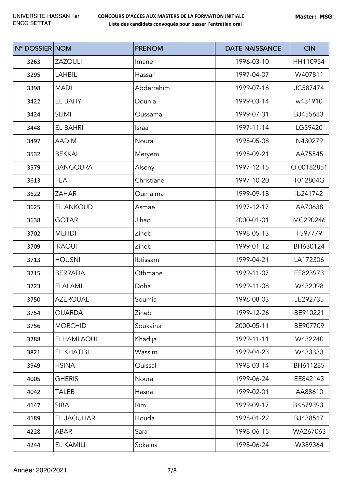| N° DOSSIER NOM |                   | <b>PRENOM</b> | <b>DATE NAISSANCE</b> | <b>CIN</b> |
|----------------|-------------------|---------------|-----------------------|------------|
| 3263           | <b>ZAZOULI</b>    | Imane         | 1996-03-10            | HH110954   |
| 3295           | <b>LAHBIL</b>     | Hassan        | 1997-04-07            | W407811    |
| 3398           | <b>MADI</b>       | Abderrahim    | 1999-07-16            | JC587474   |
| 3422           | EL BAHY           | Dounia        | 1999-03-14            | w431910    |
| 3424           | <b>SLIMI</b>      | Oussama       | 1999-07-31            | BJ455683   |
| 3448           | EL BAHRI          | Israa         | 1997-11-14            | LG39420    |
| 3497           | <b>AADIM</b>      | Noura         | 1998-05-08            | N430279    |
| 3532           | <b>BEKKAI</b>     | Meryem        | 1998-09-21            | AA75545    |
| 3579           | <b>BANGOURA</b>   | Alseny        | 1997-12-15            | O 00182851 |
| 3613           | <b>TEA</b>        | Christiane    | 1997-10-20            | T012804G   |
| 3622           | <b>ZAHAR</b>      | Oumaima       | 1999-09-18            | ib241742   |
| 3625           | <b>EL ANKOUD</b>  | Asmae         | 1997-12-17            | AA70638    |
| 3638           | <b>GOTAR</b>      | Jihad         | 2000-01-01            | MC290246   |
| 3702           | <b>MEHDI</b>      | Zineb         | 1998-05-13            | F597779    |
| 3709           | <b>IRAOUI</b>     | Zineb         | 1999-01-12            | BH630124   |
| 3713           | <b>HOUSNI</b>     | Ibtissam      | 1999-04-21            | LA172306   |
| 3715           | <b>BERRADA</b>    | Othmane       | 1999-11-07            | EE823973   |
| 3723           | <b>ELALAMI</b>    | Doha          | 1999-11-08            | W432098    |
| 3750           | <b>AZEROUAL</b>   | Soumia        | 1996-08-03            | JE292735   |
| 3754           | <b>OUARDA</b>     | Zineb         | 1999-12-26            | BE910221   |
| 3756           | <b>MORCHID</b>    | Soukaina      | 2000-05-11            | BE907709   |
| 3788           | <b>ELHAMLAOUI</b> | Khadija       | 1999-11-11            | W432240    |
| 3821           | EL KHATIBI        | Wassim        | 1999-04-23            | W433333    |
| 3949           | <b>HSINA</b>      | Ouissal       | 1998-03-14            | BH611285   |
| 4005           | <b>GHERIS</b>     | Noura         | 1999-06-24            | EE842143   |
| 4042           | TALEB             | Hasna         | 1999-02-01            | AA88610    |
| 4147           | SIBAI             | Rim           | 1999-09-17            | BK679393.  |
| 4189           | EL JAOUHARI       | Houda         | 1998-01-22            | BJ438517   |
| 4228           | ABAR              | Sara          | 1998-06-15            | WA267063   |
| 4244           | EL KAMILI         | Sokaina       | 1998-06-24            | W389364    |